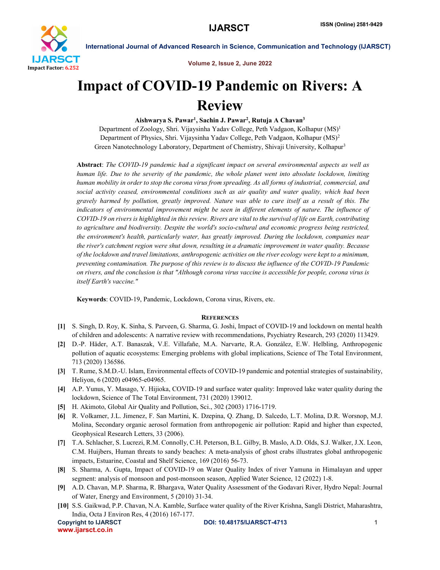

International Journal of Advanced Research in Science, Communication and Technology (IJARSCT)

Volume 2, Issue 2, June 2022

## Impact of COVID-19 Pandemic on Rivers: A Review

Aishwarya S. Pawar<sup>1</sup>, Sachin J. Pawar<sup>2</sup>, Rutuja A Chavan<sup>3</sup>

Department of Zoology, Shri. Vijaysinha Yadav College, Peth Vadgaon, Kolhapur (MS)1 Department of Physics, Shri. Vijaysinha Yadav College, Peth Vadgaon, Kolhapur (MS)2 Green Nanotechnology Laboratory, Department of Chemistry, Shivaji University, Kolhapur<sup>3</sup>

Abstract: *The COVID-19 pandemic had a significant impact on several environmental aspects as well as human life. Due to the severity of the pandemic, the whole planet went into absolute lockdown, limiting human mobility in order to stop the corona virus from spreading. As all forms of industrial, commercial, and social activity ceased, environmental conditions such as air quality and water quality, which had been gravely harmed by pollution, greatly improved. Nature was able to cure itself as a result of this. The*  indicators of environmental improvement might be seen in different elements of nature. The influence of *COVID-19 on rivers is highlighted in this review. Rivers are vital to the survival of life on Earth, contributing to agriculture and biodiversity. Despite the world's socio-cultural and economic progress being restricted, the environment's health, particularly water, has greatly improved. During the lockdown, companies near the river's catchment region were shut down, resulting in a dramatic improvement in water quality. Because of the lockdown and travel limitations, anthropogenic activities on the river ecology were kept to a minimum, preventing contamination. The purpose of this review is to discuss the influence of the COVID-19 Pandemic on rivers, and the conclusion is that "Although corona virus vaccine is accessible for people, corona virus is itself Earth's vaccine."*

Keywords: COVID-19, Pandemic, Lockdown, Corona virus, Rivers, etc.

## **REFERENCES**

- [1] S. Singh, D. Roy, K. Sinha, S. Parveen, G. Sharma, G. Joshi, Impact of COVID-19 and lockdown on mental health of children and adolescents: A narrative review with recommendations, Psychiatry Research, 293 (2020) 113429.
- [2] D.-P. Häder, A.T. Banaszak, V.E. Villafañe, M.A. Narvarte, R.A. González, E.W. Helbling, Anthropogenic pollution of aquatic ecosystems: Emerging problems with global implications, Science of The Total Environment, 713 (2020) 136586.
- [3] T. Rume, S.M.D.-U. Islam, Environmental effects of COVID-19 pandemic and potential strategies of sustainability, Heliyon, 6 (2020) e04965-e04965.
- [4] A.P. Yunus, Y. Masago, Y. Hijioka, COVID-19 and surface water quality: Improved lake water quality during the lockdown, Science of The Total Environment, 731 (2020) 139012.
- [5] H. Akimoto, Global Air Quality and Pollution, Sci., 302 (2003) 1716-1719.
- [6] R. Volkamer, J.L. Jimenez, F. San Martini, K. Dzepina, Q. Zhang, D. Salcedo, L.T. Molina, D.R. Worsnop, M.J. Molina, Secondary organic aerosol formation from anthropogenic air pollution: Rapid and higher than expected, Geophysical Research Letters, 33 (2006).
- [7] T.A. Schlacher, S. Lucrezi, R.M. Connolly, C.H. Peterson, B.L. Gilby, B. Maslo, A.D. Olds, S.J. Walker, J.X. Leon, C.M. Huijbers, Human threats to sandy beaches: A meta-analysis of ghost crabs illustrates global anthropogenic impacts, Estuarine, Coastal and Shelf Science, 169 (2016) 56-73.
- [8] S. Sharma, A. Gupta, Impact of COVID-19 on Water Quality Index of river Yamuna in Himalayan and upper segment: analysis of monsoon and post-monsoon season, Applied Water Science, 12 (2022) 1-8.
- [9] A.D. Chavan, M.P. Sharma, R. Bhargava, Water Quality Assessment of the Godavari River, Hydro Nepal: Journal of Water, Energy and Environment, 5 (2010) 31-34.
- [10] S.S. Gaikwad, P.P. Chavan, N.A. Kamble, Surface water quality of the River Krishna, Sangli District, Maharashtra, India, Octa J Environ Res, 4 (2016) 167-177.

www.ijarsct.co.in